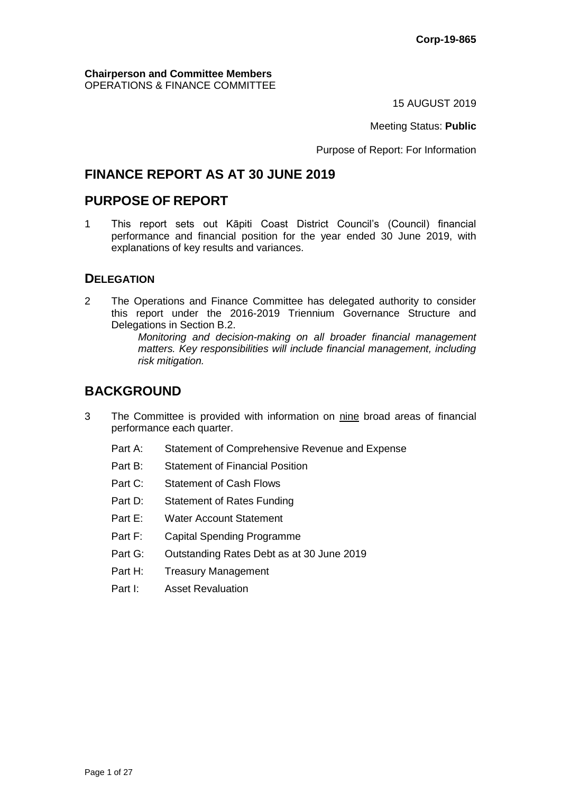#### **Chairperson and Committee Members** OPERATIONS & FINANCE COMMITTEE

15 AUGUST 2019

Meeting Status: **Public**

Purpose of Report: For Information

# **FINANCE REPORT AS AT 30 JUNE 2019**

# **PURPOSE OF REPORT**

1 This report sets out Kāpiti Coast District Council's (Council) financial performance and financial position for the year ended 30 June 2019, with explanations of key results and variances.

## **DELEGATION**

2 The Operations and Finance Committee has delegated authority to consider this report under the 2016-2019 Triennium Governance Structure and Delegations in Section B.2.

> *Monitoring and decision-making on all broader financial management matters. Key responsibilities will include financial management, including risk mitigation.*

# **BACKGROUND**

- 3 The Committee is provided with information on nine broad areas of financial performance each quarter.
	- Part A: Statement of Comprehensive Revenue and Expense
	- Part B: Statement of Financial Position
	- Part C: Statement of Cash Flows
	- Part D: Statement of Rates Funding
	- Part E: Water Account Statement
	- Part F: Capital Spending Programme
	- Part G: Outstanding Rates Debt as at 30 June 2019
	- Part H: Treasury Management
	- Part I: Asset Revaluation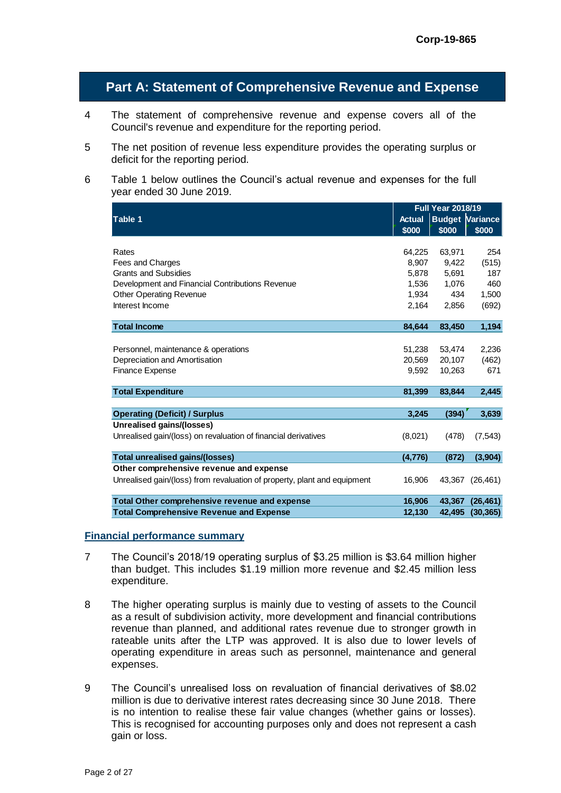# **Part A: Statement of Comprehensive Revenue and Expense**

- 4 The statement of comprehensive revenue and expense covers all of the Council's revenue and expenditure for the reporting period.
- 5 The net position of revenue less expenditure provides the operating surplus or deficit for the reporting period.
- 6 Table 1 below outlines the Council's actual revenue and expenses for the full year ended 30 June 2019.

|                                                                          |               | <b>Full Year 2018/19</b> |           |
|--------------------------------------------------------------------------|---------------|--------------------------|-----------|
| <b>Table 1</b>                                                           | <b>Actual</b> | <b>Budget Variance</b>   |           |
|                                                                          | \$000         | \$000                    | \$000     |
|                                                                          |               |                          |           |
| Rates                                                                    | 64.225        | 63,971                   | 254       |
| Fees and Charges                                                         | 8.907         | 9,422                    | (515)     |
| <b>Grants and Subsidies</b>                                              | 5,878         | 5,691                    | 187       |
| Development and Financial Contributions Revenue                          | 1,536         | 1,076                    | 460       |
| <b>Other Operating Revenue</b>                                           | 1,934         | 434                      | 1,500     |
| Interest Income                                                          | 2,164         | 2,856                    | (692)     |
| <b>Total Income</b>                                                      | 84,644        | 83,450                   | 1,194     |
|                                                                          |               |                          |           |
| Personnel, maintenance & operations                                      | 51,238        | 53,474                   | 2,236     |
| Depreciation and Amortisation                                            | 20.569        | 20,107                   | (462)     |
| <b>Finance Expense</b>                                                   | 9,592         | 10,263                   | 671       |
|                                                                          |               |                          |           |
| <b>Total Expenditure</b>                                                 | 81,399        | 83,844                   | 2,445     |
|                                                                          |               |                          |           |
| <b>Operating (Deficit) / Surplus</b>                                     | 3,245         | (394)                    | 3,639     |
| Unrealised gains/(losses)                                                |               |                          |           |
| Unrealised gain/(loss) on revaluation of financial derivatives           | (8,021)       | (478)                    | (7, 543)  |
| <b>Total unrealised gains/(losses)</b>                                   | (4,776)       | (872)                    | (3,904)   |
| Other comprehensive revenue and expense                                  |               |                          |           |
| Unrealised gain/(loss) from revaluation of property, plant and equipment | 16,906        | 43,367                   | (26, 461) |
| Total Other comprehensive revenue and expense                            | 16,906        | 43,367                   | (26, 461) |
| <b>Total Comprehensive Revenue and Expense</b>                           | 12,130        | 42,495                   | (30, 365) |
|                                                                          |               |                          |           |

#### **Financial performance summary**

- 7 The Council's 2018/19 operating surplus of \$3.25 million is \$3.64 million higher than budget. This includes \$1.19 million more revenue and \$2.45 million less expenditure.
- 8 The higher operating surplus is mainly due to vesting of assets to the Council as a result of subdivision activity, more development and financial contributions revenue than planned, and additional rates revenue due to stronger growth in rateable units after the LTP was approved. It is also due to lower levels of operating expenditure in areas such as personnel, maintenance and general expenses.
- 9 The Council's unrealised loss on revaluation of financial derivatives of \$8.02 million is due to derivative interest rates decreasing since 30 June 2018. There is no intention to realise these fair value changes (whether gains or losses). This is recognised for accounting purposes only and does not represent a cash gain or loss.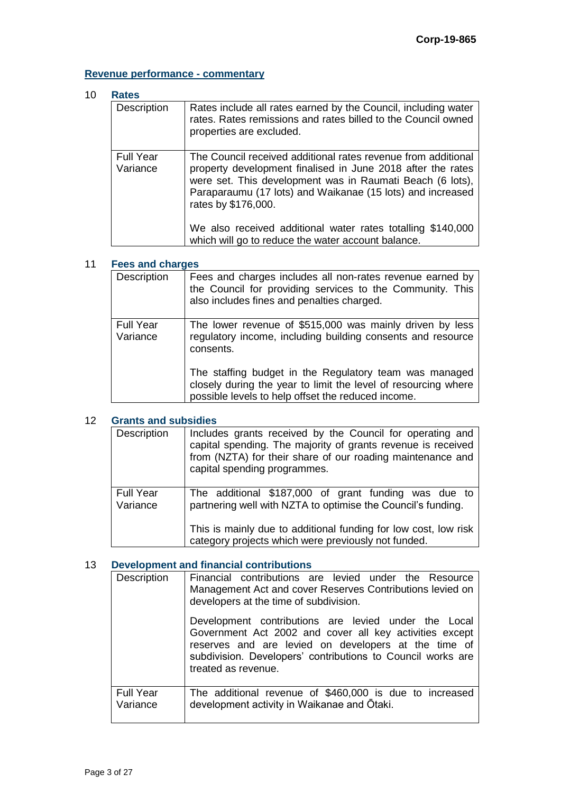# **Revenue performance - commentary**

### 10 **Rates**

| <b>INGRES</b>                |                                                                                                                                                                                                                                                                                |  |
|------------------------------|--------------------------------------------------------------------------------------------------------------------------------------------------------------------------------------------------------------------------------------------------------------------------------|--|
| Description                  | Rates include all rates earned by the Council, including water<br>rates. Rates remissions and rates billed to the Council owned<br>properties are excluded.                                                                                                                    |  |
| <b>Full Year</b><br>Variance | The Council received additional rates revenue from additional<br>property development finalised in June 2018 after the rates<br>were set. This development was in Raumati Beach (6 lots),<br>Paraparaumu (17 lots) and Waikanae (15 lots) and increased<br>rates by \$176,000. |  |
|                              | We also received additional water rates totalling \$140,000<br>which will go to reduce the water account balance.                                                                                                                                                              |  |

## 11 **Fees and charges**

| Description                  | Fees and charges includes all non-rates revenue earned by<br>the Council for providing services to the Community. This<br>also includes fines and penalties charged.           |
|------------------------------|--------------------------------------------------------------------------------------------------------------------------------------------------------------------------------|
| <b>Full Year</b><br>Variance | The lower revenue of \$515,000 was mainly driven by less<br>regulatory income, including building consents and resource<br>consents.                                           |
|                              | The staffing budget in the Regulatory team was managed<br>closely during the year to limit the level of resourcing where<br>possible levels to help offset the reduced income. |

#### 12 **Grants and subsidies**

| Description                  | Includes grants received by the Council for operating and<br>capital spending. The majority of grants revenue is received<br>from (NZTA) for their share of our roading maintenance and<br>capital spending programmes.                        |
|------------------------------|------------------------------------------------------------------------------------------------------------------------------------------------------------------------------------------------------------------------------------------------|
| <b>Full Year</b><br>Variance | The additional \$187,000 of grant funding was due to<br>partnering well with NZTA to optimise the Council's funding.<br>This is mainly due to additional funding for low cost, low risk<br>category projects which were previously not funded. |

## 13 **Development and financial contributions**

| Development and mianual continuutions |                                                                                                                                                                                                                                                                                                                                                                                                                               |  |
|---------------------------------------|-------------------------------------------------------------------------------------------------------------------------------------------------------------------------------------------------------------------------------------------------------------------------------------------------------------------------------------------------------------------------------------------------------------------------------|--|
| Description                           | Financial contributions are levied under the Resource<br>Management Act and cover Reserves Contributions levied on<br>developers at the time of subdivision.<br>Development contributions are levied under the Local<br>Government Act 2002 and cover all key activities except<br>reserves and are levied on developers at the time of<br>subdivision. Developers' contributions to Council works are<br>treated as revenue. |  |
| <b>Full Year</b><br>Variance          | The additional revenue of \$460,000 is due to increased<br>development activity in Waikanae and Otaki.                                                                                                                                                                                                                                                                                                                        |  |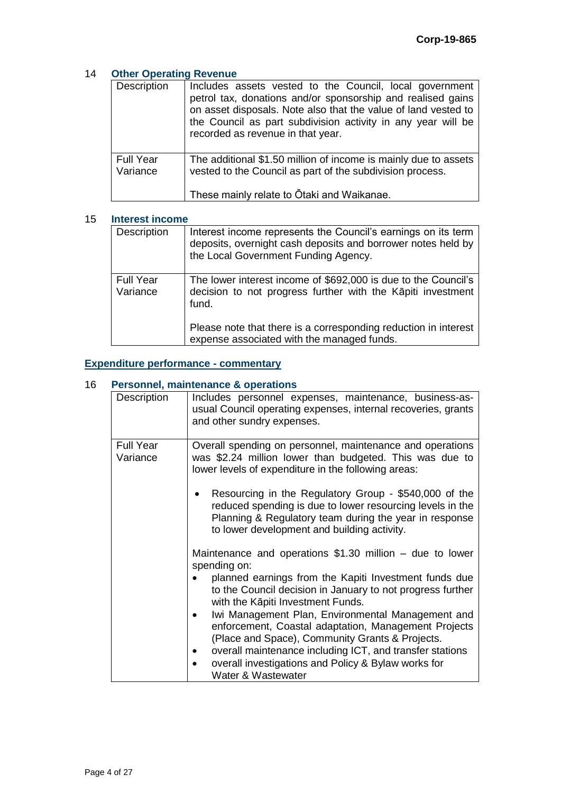### 14 **Other Operating Revenue**

| Description                  | Includes assets vested to the Council, local government<br>petrol tax, donations and/or sponsorship and realised gains<br>on asset disposals. Note also that the value of land vested to<br>the Council as part subdivision activity in any year will be<br>recorded as revenue in that year. |
|------------------------------|-----------------------------------------------------------------------------------------------------------------------------------------------------------------------------------------------------------------------------------------------------------------------------------------------|
| <b>Full Year</b><br>Variance | The additional \$1.50 million of income is mainly due to assets<br>vested to the Council as part of the subdivision process.<br>These mainly relate to Otaki and Waikanae.                                                                                                                    |

#### 15 **Interest income**

| Description                  | Interest income represents the Council's earnings on its term<br>deposits, overnight cash deposits and borrower notes held by<br>the Local Government Funding Agency. |
|------------------------------|-----------------------------------------------------------------------------------------------------------------------------------------------------------------------|
| <b>Full Year</b><br>Variance | The lower interest income of \$692,000 is due to the Council's<br>decision to not progress further with the Kāpiti investment<br>fund.                                |
|                              | Please note that there is a corresponding reduction in interest<br>expense associated with the managed funds.                                                         |

## **Expenditure performance - commentary**

#### 16 **Personnel, maintenance & operations**

| Description                  | Includes personnel expenses, maintenance, business-as-<br>usual Council operating expenses, internal recoveries, grants<br>and other sundry expenses.                                                                       |
|------------------------------|-----------------------------------------------------------------------------------------------------------------------------------------------------------------------------------------------------------------------------|
| <b>Full Year</b><br>Variance | Overall spending on personnel, maintenance and operations<br>was \$2.24 million lower than budgeted. This was due to<br>lower levels of expenditure in the following areas:                                                 |
|                              | Resourcing in the Regulatory Group - \$540,000 of the<br>reduced spending is due to lower resourcing levels in the<br>Planning & Regulatory team during the year in response<br>to lower development and building activity. |
|                              | Maintenance and operations $$1.30$ million – due to lower<br>spending on:                                                                                                                                                   |
|                              | planned earnings from the Kapiti Investment funds due<br>to the Council decision in January to not progress further<br>with the Kāpiti Investment Funds.                                                                    |
|                              | Iwi Management Plan, Environmental Management and<br>$\bullet$<br>enforcement, Coastal adaptation, Management Projects<br>(Place and Space), Community Grants & Projects.                                                   |
|                              | overall maintenance including ICT, and transfer stations<br>overall investigations and Policy & Bylaw works for<br>Water & Wastewater                                                                                       |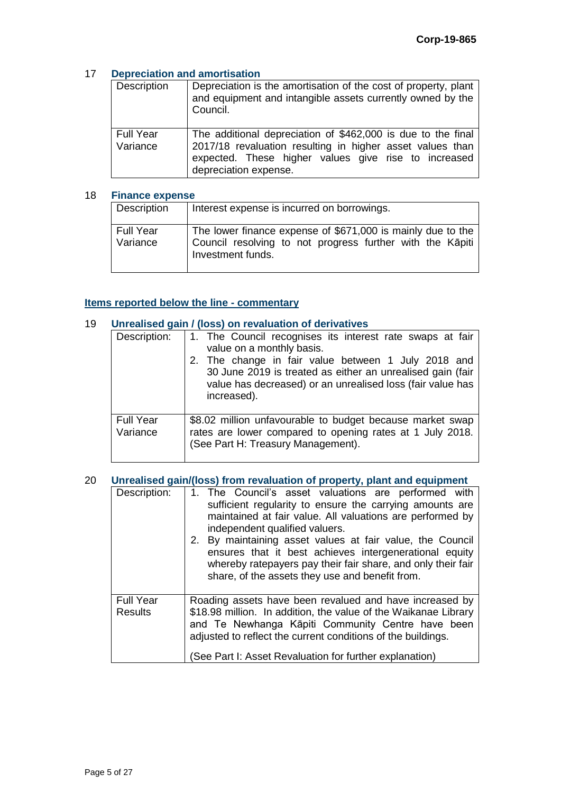#### 17 **Depreciation and amortisation**

| Description                  | Depreciation is the amortisation of the cost of property, plant<br>and equipment and intangible assets currently owned by the<br>Council.                                                                  |
|------------------------------|------------------------------------------------------------------------------------------------------------------------------------------------------------------------------------------------------------|
| <b>Full Year</b><br>Variance | The additional depreciation of \$462,000 is due to the final<br>2017/18 revaluation resulting in higher asset values than<br>expected. These higher values give rise to increased<br>depreciation expense. |

#### 18 **Finance expense**

| Description                  | Interest expense is incurred on borrowings.                                                                                                   |
|------------------------------|-----------------------------------------------------------------------------------------------------------------------------------------------|
| <b>Full Year</b><br>Variance | The lower finance expense of \$671,000 is mainly due to the<br>Council resolving to not progress further with the Kāpiti<br>Investment funds. |

#### **Items reported below the line - commentary**

| 19 |                              | Unrealised gain / (loss) on revaluation of derivatives                                                                                                                                                      |
|----|------------------------------|-------------------------------------------------------------------------------------------------------------------------------------------------------------------------------------------------------------|
|    | Description:                 | 1. The Council recognises its interest rate swaps at fair<br>value on a monthly basis.<br>2. The change in fair value between 1 July 2018 and<br>30 June 2019 is treated as either an unrealised gain (fair |
|    |                              | value has decreased) or an unrealised loss (fair value has<br>increased).                                                                                                                                   |
|    | <b>Full Year</b><br>Variance | \$8.02 million unfavourable to budget because market swap<br>rates are lower compared to opening rates at 1 July 2018.<br>(See Part H: Treasury Management).                                                |

## 20 **Unrealised gain/(loss) from revaluation of property, plant and equipment**

| Description:                       | 1. The Council's asset valuations are performed with<br>sufficient regularity to ensure the carrying amounts are<br>maintained at fair value. All valuations are performed by<br>independent qualified valuers.<br>2. By maintaining asset values at fair value, the Council<br>ensures that it best achieves intergenerational equity<br>whereby ratepayers pay their fair share, and only their fair<br>share, of the assets they use and benefit from. |
|------------------------------------|-----------------------------------------------------------------------------------------------------------------------------------------------------------------------------------------------------------------------------------------------------------------------------------------------------------------------------------------------------------------------------------------------------------------------------------------------------------|
| <b>Full Year</b><br><b>Results</b> | Roading assets have been revalued and have increased by<br>\$18.98 million. In addition, the value of the Waikanae Library<br>and Te Newhanga Kāpiti Community Centre have been<br>adjusted to reflect the current conditions of the buildings.<br>(See Part I: Asset Revaluation for further explanation)                                                                                                                                                |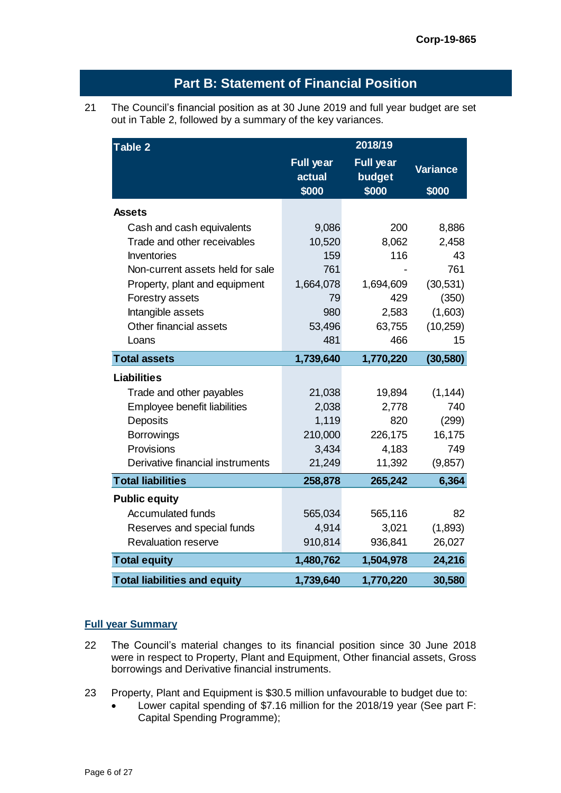| out in Table 2, followed by a summary of the key variances. |                                     | The Council's financial position as at 30 June 2019 and full year budget are set |                          |
|-------------------------------------------------------------|-------------------------------------|----------------------------------------------------------------------------------|--------------------------|
| Table 2                                                     |                                     | 2018/19                                                                          |                          |
|                                                             | <b>Full year</b><br>actual<br>\$000 | <b>Full year</b><br>budget<br>\$000                                              | <b>Variance</b><br>\$000 |
| <b>Assets</b>                                               |                                     |                                                                                  |                          |
| Cash and cash equivalents                                   | 9,086                               | 200                                                                              | 8,886                    |
| Trade and other receivables                                 | 10,520                              | 8,062                                                                            | 2,458                    |
| <b>Inventories</b>                                          | 159                                 | 116                                                                              | 43                       |
| Non-current assets held for sale                            | 761                                 |                                                                                  | 761                      |
| Property, plant and equipment                               | 1,664,078                           | 1,694,609                                                                        | (30,531)                 |
| Forestry assets                                             | 79                                  | 429                                                                              | (350)                    |
| Intangible assets                                           | 980                                 | 2,583                                                                            | (1,603)                  |
| Other financial assets                                      | 53,496                              | 63,755                                                                           | (10, 259)                |
| Loans                                                       | 481                                 | 466                                                                              | 15                       |
| <b>Total assets</b>                                         | 1,739,640                           | 1,770,220                                                                        | (30, 580)                |
| <b>Liabilities</b>                                          |                                     |                                                                                  |                          |
| Trade and other payables                                    | 21,038                              | 19,894                                                                           | (1, 144)                 |
| Employee benefit liabilities                                | 2,038                               | 2,778                                                                            | 740                      |
| Deposits                                                    | 1,119                               | 820                                                                              | (299)                    |
| <b>Borrowings</b>                                           | 210,000                             | 226,175                                                                          | 16,175                   |
| Provisions                                                  | 3,434                               | 4,183                                                                            | 749                      |
| Derivative financial instruments                            | 21,249                              | 11,392                                                                           | (9, 857)                 |
| <b>Total liabilities</b>                                    | 258,878                             | 265,242                                                                          | 6,364                    |
| <b>Public equity</b>                                        |                                     |                                                                                  |                          |
| <b>Accumulated funds</b>                                    | 565,034                             | 565,116                                                                          | 82                       |
| Reserves and special funds                                  | 4,914                               | 3,021                                                                            | (1,893)                  |
| <b>Revaluation reserve</b>                                  | 910,814                             | 936,841                                                                          | 26,027                   |
| <b>Total equity</b>                                         | 1,480,762                           | 1,504,978                                                                        | 24,216                   |
| <b>Total liabilities and equity</b>                         | 1,739,640                           | 1,770,220                                                                        | 30,580                   |

# **Full year Summary**

- 22 The Council's material changes to its financial position since 30 June 2018 were in respect to Property, Plant and Equipment, Other financial assets, Gross borrowings and Derivative financial instruments.
- 23 Property, Plant and Equipment is \$30.5 million unfavourable to budget due to:
	- Lower capital spending of \$7.16 million for the 2018/19 year (See part F: Capital Spending Programme);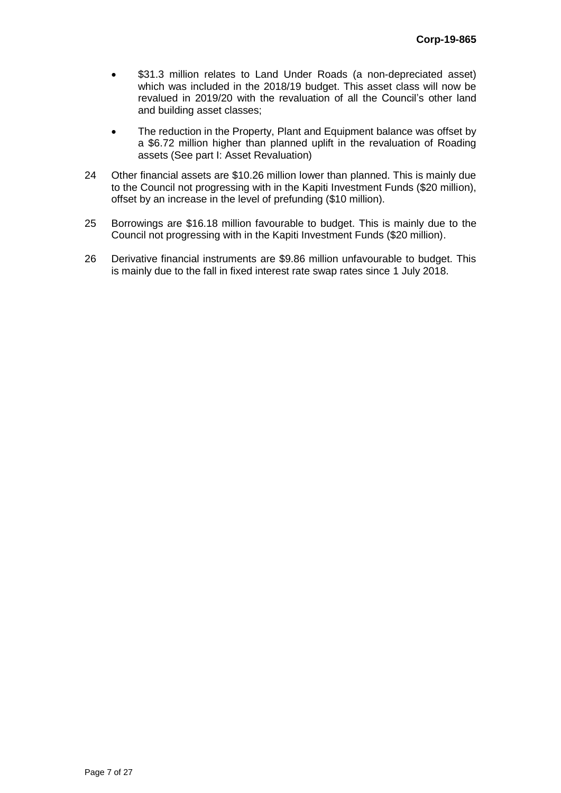- \$31.3 million relates to Land Under Roads (a non-depreciated asset) which was included in the 2018/19 budget. This asset class will now be revalued in 2019/20 with the revaluation of all the Council's other land and building asset classes;
- The reduction in the Property, Plant and Equipment balance was offset by a \$6.72 million higher than planned uplift in the revaluation of Roading assets (See part I: Asset Revaluation)
- 24 Other financial assets are \$10.26 million lower than planned. This is mainly due to the Council not progressing with in the Kapiti Investment Funds (\$20 million), offset by an increase in the level of prefunding (\$10 million).
- 25 Borrowings are \$16.18 million favourable to budget. This is mainly due to the Council not progressing with in the Kapiti Investment Funds (\$20 million).
- 26 Derivative financial instruments are \$9.86 million unfavourable to budget. This is mainly due to the fall in fixed interest rate swap rates since 1 July 2018.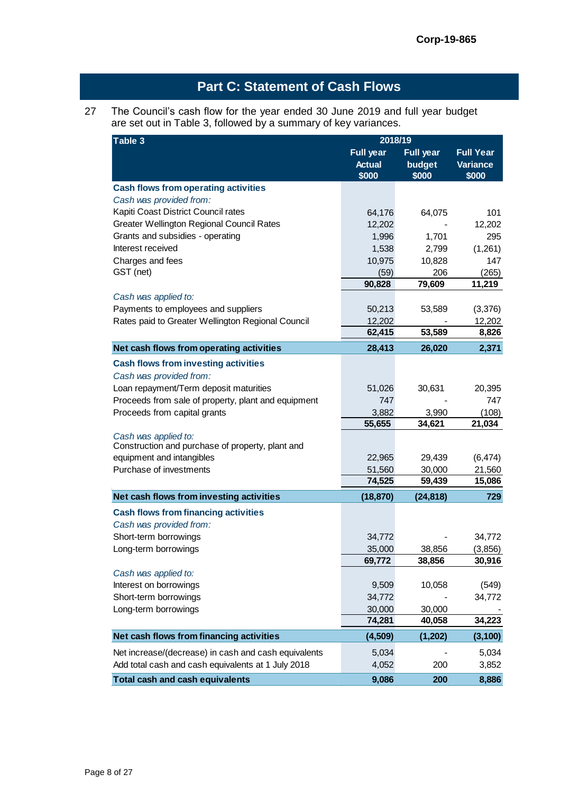# **Part C: Statement of Cash Flows**

#### 27 The Council's cash flow for the year ended 30 June 2019 and full year budget are set out in Table 3, followed by a summary of key variances.

| Table 3                                                                  | 2018/19                |                  |                          |
|--------------------------------------------------------------------------|------------------------|------------------|--------------------------|
|                                                                          | <b>Full year</b>       | <b>Full year</b> | <b>Full Year</b>         |
|                                                                          | <b>Actual</b><br>\$000 | budget<br>\$000  | <b>Variance</b><br>\$000 |
| <b>Cash flows from operating activities</b>                              |                        |                  |                          |
| Cash was provided from:                                                  |                        |                  |                          |
| Kapiti Coast District Council rates                                      | 64,176                 | 64,075           | 101                      |
| Greater Wellington Regional Council Rates                                | 12,202                 |                  | 12,202                   |
| Grants and subsidies - operating                                         | 1,996                  | 1,701            | 295                      |
| Interest received                                                        | 1,538                  | 2,799            | (1,261)                  |
| Charges and fees                                                         | 10,975                 | 10,828           | 147                      |
| GST (net)                                                                | (59)                   | 206              | (265)                    |
|                                                                          | 90,828                 | 79,609           | 11,219                   |
| Cash was applied to:                                                     |                        |                  |                          |
| Payments to employees and suppliers                                      | 50,213                 | 53,589           | (3,376)                  |
| Rates paid to Greater Wellington Regional Council                        | 12,202                 |                  | 12,202                   |
|                                                                          | 62,415                 | 53,589           | 8,826                    |
| Net cash flows from operating activities                                 | 28,413                 | 26,020           | 2,371                    |
| <b>Cash flows from investing activities</b>                              |                        |                  |                          |
| Cash was provided from:                                                  |                        |                  |                          |
| Loan repayment/Term deposit maturities                                   | 51,026                 | 30,631           | 20,395                   |
| Proceeds from sale of property, plant and equipment                      | 747                    |                  | 747                      |
| Proceeds from capital grants                                             | 3,882                  | 3,990            | (108)                    |
|                                                                          | 55,655                 | 34,621           | 21,034                   |
| Cash was applied to:<br>Construction and purchase of property, plant and |                        |                  |                          |
| equipment and intangibles                                                | 22,965                 | 29,439           | (6, 474)                 |
| Purchase of investments                                                  | 51,560                 | 30,000           | 21,560                   |
|                                                                          | 74,525                 | 59,439           | 15,086                   |
| Net cash flows from investing activities                                 | (18, 870)              | (24, 818)        | 729                      |
| <b>Cash flows from financing activities</b>                              |                        |                  |                          |
| Cash was provided from:                                                  |                        |                  |                          |
| Short-term borrowings                                                    | 34,772                 |                  | 34,772                   |
| Long-term borrowings                                                     | 35,000                 | 38,856           | (3,856)                  |
|                                                                          | 69,772                 | 38,856           | 30,916                   |
| Cash was applied to:                                                     |                        |                  |                          |
| Interest on borrowings                                                   | 9,509                  | 10,058           | (549)                    |
| Short-term borrowings                                                    | 34,772                 |                  | 34,772                   |
| Long-term borrowings                                                     | 30,000                 | 30,000           |                          |
|                                                                          | 74,281                 | 40,058           | 34,223                   |
| Net cash flows from financing activities                                 | (4,509)                | (1, 202)         | (3, 100)                 |
| Net increase/(decrease) in cash and cash equivalents                     | 5,034                  |                  | 5,034                    |
| Add total cash and cash equivalents at 1 July 2018                       | 4,052                  | 200              | 3,852                    |
| Total cash and cash equivalents                                          | 9,086                  | 200              | 8,886                    |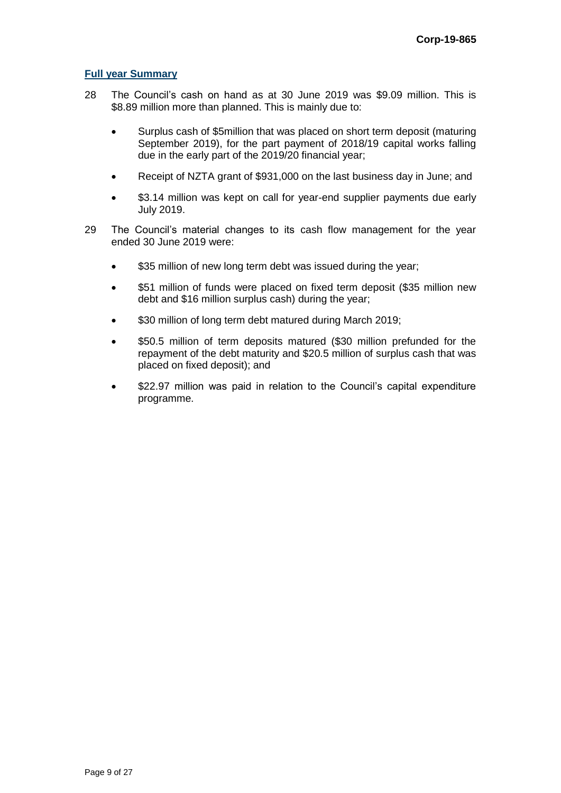#### **Full year Summary**

- 28 The Council's cash on hand as at 30 June 2019 was \$9.09 million. This is \$8.89 million more than planned. This is mainly due to:
	- Surplus cash of \$5million that was placed on short term deposit (maturing September 2019), for the part payment of 2018/19 capital works falling due in the early part of the 2019/20 financial year;
	- Receipt of NZTA grant of \$931,000 on the last business day in June; and
	- \$3.14 million was kept on call for year-end supplier payments due early July 2019.
- 29 The Council's material changes to its cash flow management for the year ended 30 June 2019 were:
	- \$35 million of new long term debt was issued during the year;
	- \$51 million of funds were placed on fixed term deposit (\$35 million new debt and \$16 million surplus cash) during the year;
	- \$30 million of long term debt matured during March 2019;
	- \$50.5 million of term deposits matured (\$30 million prefunded for the repayment of the debt maturity and \$20.5 million of surplus cash that was placed on fixed deposit); and
	- \$22.97 million was paid in relation to the Council's capital expenditure programme.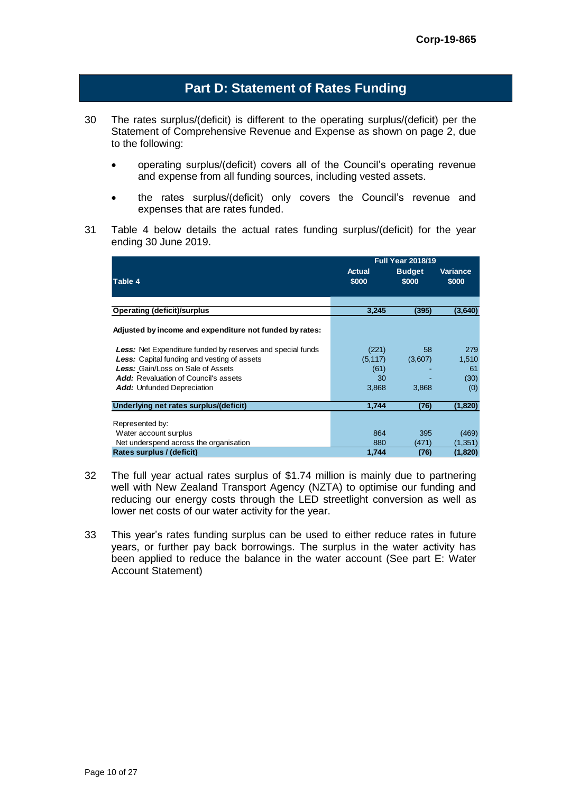# **Part D: Statement of Rates Funding**

- 30 The rates surplus/(deficit) is different to the operating surplus/(deficit) per the Statement of Comprehensive Revenue and Expense as shown on page 2, due to the following:
	- operating surplus/(deficit) covers all of the Council's operating revenue and expense from all funding sources, including vested assets.
	- the rates surplus/(deficit) only covers the Council's revenue and expenses that are rates funded.
- 31 Table 4 below details the actual rates funding surplus/(deficit) for the year ending 30 June 2019.

|                                                                   |                 | <b>Full Year 2018/19</b> |                          |
|-------------------------------------------------------------------|-----------------|--------------------------|--------------------------|
| Table 4                                                           | Actual<br>\$000 | <b>Budget</b><br>\$000   | <b>Variance</b><br>\$000 |
| <b>Operating (deficit)/surplus</b>                                | 3,245           | (395)                    | (3,640)                  |
| Adjusted by income and expenditure not funded by rates:           |                 |                          |                          |
| <b>Less:</b> Net Expenditure funded by reserves and special funds | (221)           | 58                       | 279                      |
| <b>Less:</b> Capital funding and vesting of assets                | (5, 117)        | (3,607)                  | 1,510                    |
| <b>Less:</b> Gain/Loss on Sale of Assets                          | (61)            |                          | 61                       |
| <b>Add:</b> Revaluation of Council's assets                       | 30              |                          | (30)                     |
| <b>Add:</b> Unfunded Depreciation                                 | 3,868           | 3,868                    | (0)                      |
| Underlying net rates surplus/(deficit)                            | 1,744           | (76)                     | (1,820)                  |
| Represented by:                                                   |                 |                          |                          |
| Water account surplus                                             | 864             | 395                      | (469)                    |
| Net underspend across the organisation                            | 880             | (471)                    | (1,351)                  |
| Rates surplus / (deficit)                                         | 1,744           | (76)                     | (1,820)                  |

- 32 The full year actual rates surplus of \$1.74 million is mainly due to partnering well with New Zealand Transport Agency (NZTA) to optimise our funding and reducing our energy costs through the LED streetlight conversion as well as lower net costs of our water activity for the year.
- 33 This year's rates funding surplus can be used to either reduce rates in future years, or further pay back borrowings. The surplus in the water activity has been applied to reduce the balance in the water account (See part E: Water Account Statement)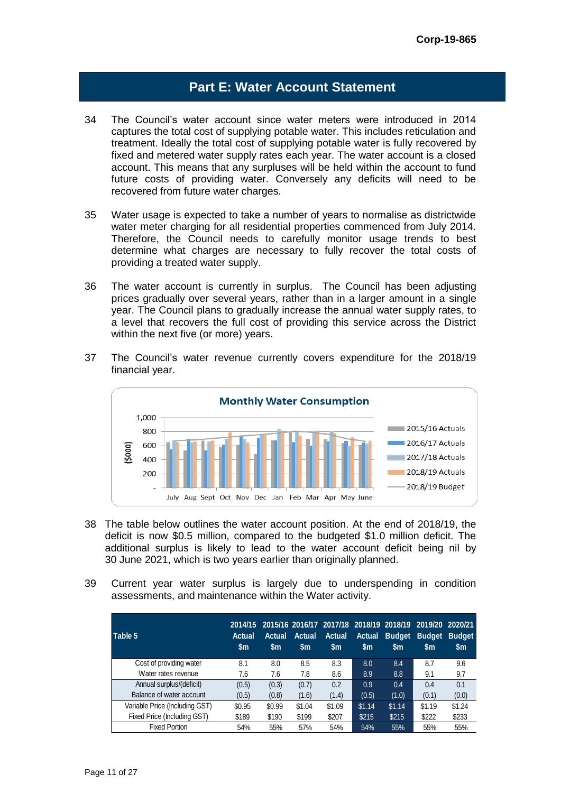# **Part E: Water Account Statement**

- 34 The Council's water account since water meters were introduced in 2014 captures the total cost of supplying potable water. This includes reticulation and treatment. Ideally the total cost of supplying potable water is fully recovered by fixed and metered water supply rates each year. The water account is a closed account. This means that any surpluses will be held within the account to fund future costs of providing water. Conversely any deficits will need to be recovered from future water charges.
- 35 Water usage is expected to take a number of years to normalise as districtwide water meter charging for all residential properties commenced from July 2014. Therefore, the Council needs to carefully monitor usage trends to best determine what charges are necessary to fully recover the total costs of providing a treated water supply.
- 36 The water account is currently in surplus. The Council has been adjusting prices gradually over several years, rather than in a larger amount in a single year. The Council plans to gradually increase the annual water supply rates, to a level that recovers the full cost of providing this service across the District within the next five (or more) years.
- 37 The Council's water revenue currently covers expenditure for the 2018/19 financial year.



- 38 The table below outlines the water account position. At the end of 2018/19, the deficit is now \$0.5 million, compared to the budgeted \$1.0 million deficit. The additional surplus is likely to lead to the water account deficit being nil by 30 June 2021, which is two years earlier than originally planned.
- 39 Current year water surplus is largely due to underspending in condition assessments, and maintenance within the Water activity.

| Table 5                        | <b>Actual</b><br>\$m | <b>Actual</b><br>$\mathsf{sm}$ | <b>Actual</b><br>\$m | <b>Actual</b><br>$\mathsf{sm}$ | <b>Actual</b><br>\$m | <b>Budget</b><br>\$m | 2014/15 2015/16 2016/17 2017/18 2018/19 2018/19 2019/20 2020/21<br><b>Budget</b><br>\$m | <b>Budget</b><br>\$m |
|--------------------------------|----------------------|--------------------------------|----------------------|--------------------------------|----------------------|----------------------|-----------------------------------------------------------------------------------------|----------------------|
| Cost of providing water        | 8.1                  | 8.0                            | 8.5                  | 8.3                            | 8.0                  | 8.4                  | 8.7                                                                                     | 9.6                  |
| Water rates revenue            | 7.6                  | 7.6                            | 7.8                  | 8.6                            | 8.9                  | 8.8                  | 9.1                                                                                     | 9.7                  |
| Annual surplus/(deficit)       | (0.5)                | (0.3)                          | (0.7)                | 0.2                            | 0.9                  | 0.4                  | 0.4                                                                                     | 0.1                  |
| Balance of water account       | (0.5)                | (0.8)                          | (1.6)                | (1.4)                          | (0.5)                | (1.0)                | (0.1)                                                                                   | (0.0)                |
| Variable Price (Including GST) | \$0.95               | \$0.99                         | \$1.04               | \$1.09                         | \$1.14               | \$1.14               | \$1.19                                                                                  | \$1.24               |
| Fixed Price (Including GST)    | \$189                | \$190                          | \$199                | \$207                          | \$215                | \$215                | \$222                                                                                   | \$233                |
| <b>Fixed Portion</b>           | 54%                  | 55%                            | 57%                  | 54%                            | 54%                  | 55%                  | 55%                                                                                     | 55%                  |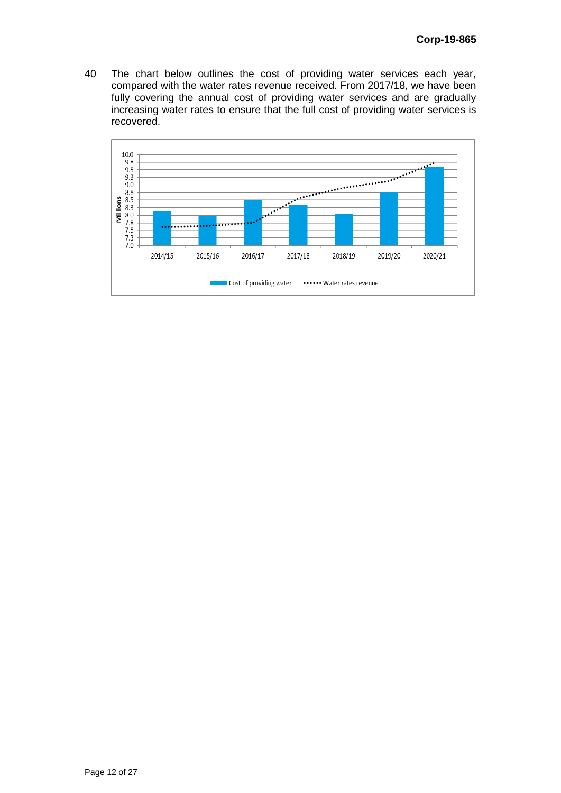40 The chart below outlines the cost of providing water services each year, compared with the water rates revenue received. From 2017/18, we have been fully covering the annual cost of providing water services and are gradually increasing water rates to ensure that the full cost of providing water services is recovered.

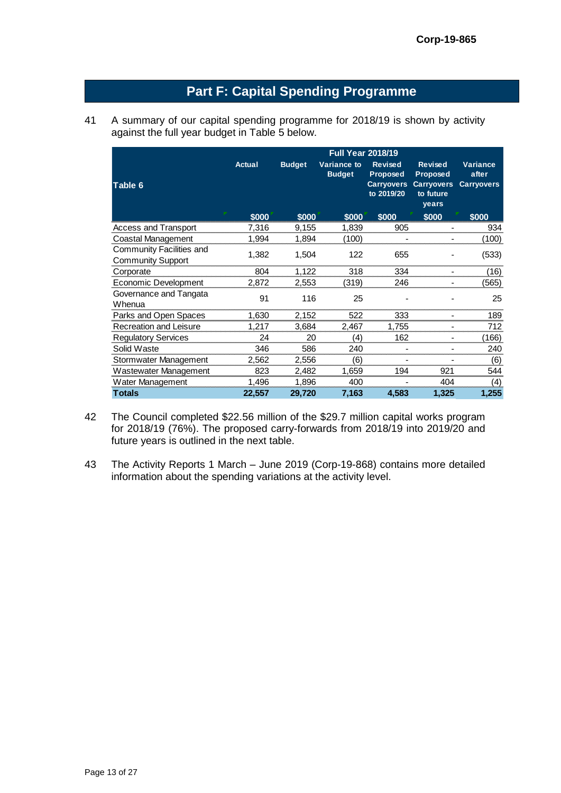# **Part F: Capital Spending Programme**

41 A summary of our capital spending programme for 2018/19 is shown by activity against the full year budget in Table 5 below.

|                                                      | <b>Full Year 2018/19</b> |               |                                     |                                                                      |                                                                              |                                               |  |  |
|------------------------------------------------------|--------------------------|---------------|-------------------------------------|----------------------------------------------------------------------|------------------------------------------------------------------------------|-----------------------------------------------|--|--|
| Table 6                                              | Actual                   | <b>Budget</b> | <b>Variance to</b><br><b>Budget</b> | <b>Revised</b><br><b>Proposed</b><br><b>Carryovers</b><br>to 2019/20 | <b>Revised</b><br><b>Proposed</b><br><b>Carryovers</b><br>to future<br>years | <b>Variance</b><br>after<br><b>Carryovers</b> |  |  |
|                                                      | \$000                    | \$000         | \$000                               | \$000                                                                | \$000                                                                        | \$000                                         |  |  |
| Access and Transport                                 | 7.316                    | 9,155         | 1,839                               | 905                                                                  |                                                                              | 934                                           |  |  |
| Coastal Management                                   | 1,994                    | 1,894         | (100)                               |                                                                      |                                                                              | (100)                                         |  |  |
| Community Facilities and<br><b>Community Support</b> | 1,382                    | 1,504         | 122                                 | 655                                                                  |                                                                              | (533)                                         |  |  |
| Corporate                                            | 804                      | 1,122         | 318                                 | 334                                                                  |                                                                              | (16)                                          |  |  |
| Economic Development                                 | 2,872                    | 2,553         | (319)                               | 246                                                                  |                                                                              | (565)                                         |  |  |
| Governance and Tangata<br>Whenua                     | 91                       | 116           | 25                                  |                                                                      |                                                                              | 25                                            |  |  |
| Parks and Open Spaces                                | 1,630                    | 2,152         | 522                                 | 333                                                                  | $\overline{\phantom{0}}$                                                     | 189                                           |  |  |
| <b>Recreation and Leisure</b>                        | 1,217                    | 3,684         | 2,467                               | 1,755                                                                |                                                                              | 712                                           |  |  |
| <b>Regulatory Services</b>                           | 24                       | 20            | (4)                                 | 162                                                                  |                                                                              | (166)                                         |  |  |
| Solid Waste                                          | 346                      | 586           | 240                                 |                                                                      |                                                                              | 240                                           |  |  |
| Stormwater Management                                | 2,562                    | 2,556         | (6)                                 | $\overline{\phantom{0}}$                                             |                                                                              | (6)                                           |  |  |
| Wastewater Management                                | 823                      | 2,482         | 1.659                               | 194                                                                  | 921                                                                          | 544                                           |  |  |
| Water Management                                     | 1,496                    | 1,896         | 400                                 |                                                                      | 404                                                                          | (4)                                           |  |  |
| <b>Totals</b>                                        | 22,557                   | 29,720        | 7,163                               | 4,583                                                                | 1,325                                                                        | 1,255                                         |  |  |

- 42 The Council completed \$22.56 million of the \$29.7 million capital works program for 2018/19 (76%). The proposed carry-forwards from 2018/19 into 2019/20 and future years is outlined in the next table.
- 43 The Activity Reports 1 March June 2019 (Corp-19-868) contains more detailed information about the spending variations at the activity level.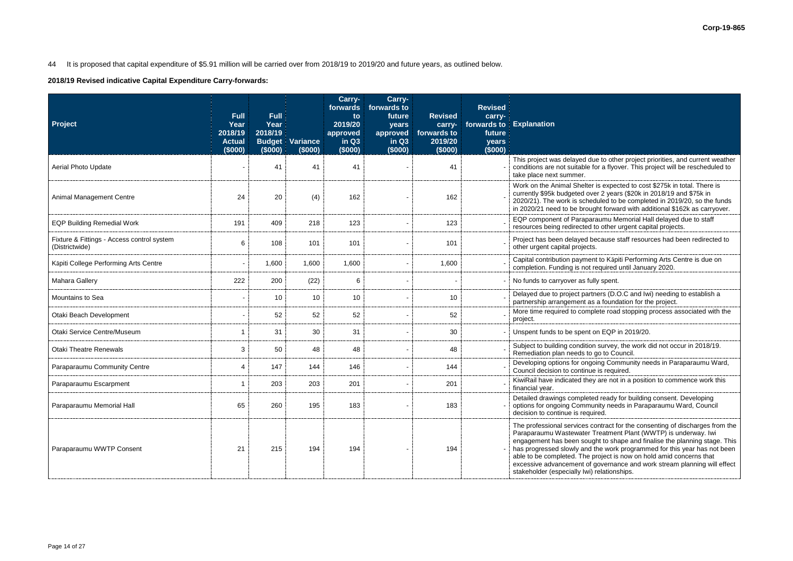# 44 It is proposed that capital expenditure of \$5.91 million will be carried over from 2018/19 to 2019/20 and future years, as outlined below.

**2018/19 Revised indicative Capital Expenditure Carry-forwards:**

| <b>Project</b>                                               | <b>Full</b><br>Year<br>2018/19<br><b>Actual</b><br>(\$000) | <b>Full</b><br>Year<br>2018/19<br><b>Budget</b><br>(\$000) | Variance<br>(\$000) | Carry-<br>forwards<br>to<br>2019/20<br>approved<br>in Q3<br>(\$000) | Carry-<br>forwards to<br>future<br>years<br>approved<br>in Q3<br>(\$000) | <b>Revised</b><br>carry-<br>forwards to<br>2019/20<br>(\$000) | <b>Revised</b><br>carry-<br>future<br>years<br>(\$000) | forwards to Explanation                                                                                                                                                                                                                                                                                                                                                                                                                                                                                   |
|--------------------------------------------------------------|------------------------------------------------------------|------------------------------------------------------------|---------------------|---------------------------------------------------------------------|--------------------------------------------------------------------------|---------------------------------------------------------------|--------------------------------------------------------|-----------------------------------------------------------------------------------------------------------------------------------------------------------------------------------------------------------------------------------------------------------------------------------------------------------------------------------------------------------------------------------------------------------------------------------------------------------------------------------------------------------|
| <b>Aerial Photo Update</b>                                   |                                                            | 41                                                         | 41                  | 41                                                                  |                                                                          | 41                                                            |                                                        | This project was delayed due to other project priorities, and current weather<br>conditions are not suitable for a flyover. This project will be rescheduled to<br>take place next summer.                                                                                                                                                                                                                                                                                                                |
| <b>Animal Management Centre</b>                              | 24                                                         | 20                                                         | (4)                 | 162                                                                 |                                                                          | 162                                                           |                                                        | Work on the Animal Shelter is expected to cost \$275k in total. There is<br>currently \$95k budgeted over 2 years (\$20k in 2018/19 and \$75k in<br>2020/21). The work is scheduled to be completed in 2019/20, so the funds<br>in 2020/21 need to be brought forward with additional \$162k as carryover.                                                                                                                                                                                                |
| <b>EQP Building Remedial Work</b>                            | 191                                                        | 409                                                        | 218                 | 123                                                                 |                                                                          | 123                                                           |                                                        | EQP component of Paraparaumu Memorial Hall delayed due to staff<br>resources being redirected to other urgent capital projects.                                                                                                                                                                                                                                                                                                                                                                           |
| Fixture & Fittings - Access control system<br>(Districtwide) | 6                                                          | 108                                                        | 101                 | 101                                                                 |                                                                          | 101                                                           |                                                        | Project has been delayed because staff resources had been redirected to<br>other urgent capital projects.                                                                                                                                                                                                                                                                                                                                                                                                 |
| Kāpiti College Performing Arts Centre                        |                                                            | 1,600                                                      | 1,600               | 1,600                                                               |                                                                          | 1,600                                                         |                                                        | Capital contribution payment to Kāpiti Performing Arts Centre is due on<br>completion. Funding is not required until January 2020.                                                                                                                                                                                                                                                                                                                                                                        |
| <b>Mahara Gallery</b>                                        | 222                                                        | 200                                                        | (22)                | 6                                                                   |                                                                          |                                                               |                                                        | No funds to carryover as fully spent.                                                                                                                                                                                                                                                                                                                                                                                                                                                                     |
| <b>Mountains to Sea</b>                                      |                                                            | 10                                                         | 10                  | 10                                                                  |                                                                          | 10                                                            |                                                        | Delayed due to project partners (D.O.C and Iwi) needing to establish a<br>partnership arrangement as a foundation for the project.                                                                                                                                                                                                                                                                                                                                                                        |
| Otaki Beach Development                                      |                                                            | 52                                                         | 52                  | 52                                                                  |                                                                          | 52                                                            |                                                        | More time required to complete road stopping process associated with the<br>project.                                                                                                                                                                                                                                                                                                                                                                                                                      |
| Otaki Service Centre/Museum                                  |                                                            | 31                                                         | 30                  | 31                                                                  |                                                                          | 30                                                            |                                                        | Unspent funds to be spent on EQP in 2019/20.                                                                                                                                                                                                                                                                                                                                                                                                                                                              |
| <b>Otaki Theatre Renewals</b>                                | 3                                                          | 50                                                         | 48                  | 48                                                                  |                                                                          | 48                                                            |                                                        | Subject to building condition survey, the work did not occur in 2018/19.<br>Remediation plan needs to go to Council.                                                                                                                                                                                                                                                                                                                                                                                      |
| Paraparaumu Community Centre                                 | 4                                                          | 147                                                        | 144                 | 146                                                                 |                                                                          | 144                                                           |                                                        | Developing options for ongoing Community needs in Paraparaumu Ward,<br>Council decision to continue is required.                                                                                                                                                                                                                                                                                                                                                                                          |
| Paraparaumu Escarpment                                       |                                                            | 203                                                        | 203                 | 201                                                                 |                                                                          | 201                                                           |                                                        | KiwiRail have indicated they are not in a position to commence work this<br>financial year.                                                                                                                                                                                                                                                                                                                                                                                                               |
| Paraparaumu Memorial Hall                                    | 65                                                         | 260                                                        | 195                 | 183                                                                 |                                                                          | 183                                                           |                                                        | Detailed drawings completed ready for building consent. Developing<br>options for ongoing Community needs in Paraparaumu Ward, Council<br>decision to continue is required.                                                                                                                                                                                                                                                                                                                               |
| Paraparaumu WWTP Consent                                     | 21                                                         | 215                                                        | 194                 | 194                                                                 |                                                                          | 194                                                           |                                                        | The professional services contract for the consenting of discharges from the<br>Paraparaumu Wastewater Treatment Plant (WWTP) is underway. Iwi<br>engagement has been sought to shape and finalise the planning stage. This<br>has progressed slowly and the work programmed for this year has not been<br>able to be completed. The project is now on hold amid concerns that<br>excessive advancement of governance and work stream planning will effect<br>stakeholder (especially lwi) relationships. |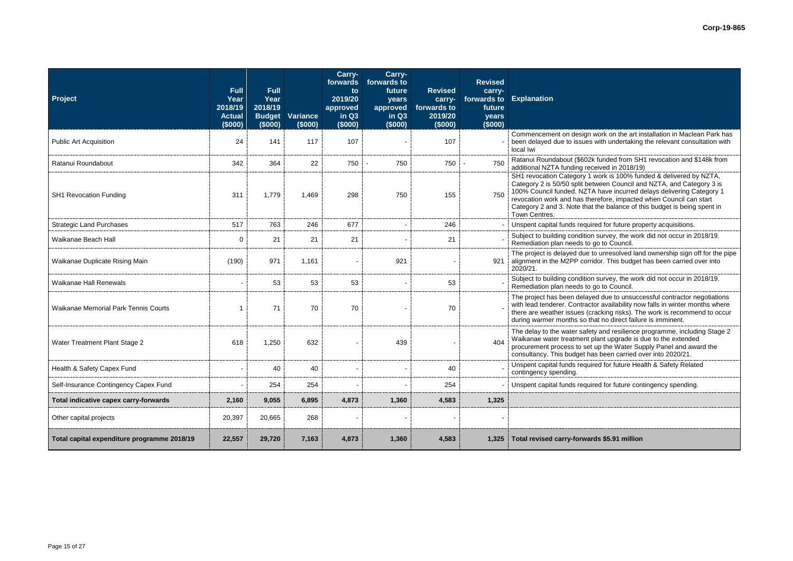| Project                                     | <b>Full</b><br>Year<br>2018/19<br><b>Actual</b><br>(\$000) | <b>Full</b><br>Year<br>2018/19<br><b>Budget</b><br>(\$000) | Variance<br>(\$000) | Carry-<br>forwards<br>to<br>2019/20<br>approved<br>in Q3<br>(\$000) | Carry-<br>forwards to<br>future<br>years<br>approved<br>in Q3<br>(\$000) | <b>Revised</b><br>carry-<br>forwards to<br>2019/20<br>(\$000) | <b>Revised</b><br>carry-<br>future<br>years<br>(\$000) | forwards to Explanation                                                                                                                                                                                                                                                                                                                                                                |
|---------------------------------------------|------------------------------------------------------------|------------------------------------------------------------|---------------------|---------------------------------------------------------------------|--------------------------------------------------------------------------|---------------------------------------------------------------|--------------------------------------------------------|----------------------------------------------------------------------------------------------------------------------------------------------------------------------------------------------------------------------------------------------------------------------------------------------------------------------------------------------------------------------------------------|
| <b>Public Art Acquisition</b>               | 24                                                         | 141                                                        | 117                 | 107                                                                 |                                                                          | 107                                                           |                                                        | Commencement on design work on the art installation in Maclean Park has<br>been delayed due to issues with undertaking the relevant consultation with<br>local Iwi                                                                                                                                                                                                                     |
| Ratanui Roundabout                          | 342                                                        | 364                                                        | 22                  | 750                                                                 | 750                                                                      | 750                                                           | 750                                                    | Ratanui Roundabout (\$602k funded from SH1 revocation and \$148k from<br>additional NZTA funding received in 2018/19)                                                                                                                                                                                                                                                                  |
| <b>SH1 Revocation Funding</b>               | 311                                                        | 1,779                                                      | 1,469               | 298                                                                 | 750                                                                      | 155                                                           | 750                                                    | SH1 revocation Category 1 work is 100% funded & delivered by NZTA,<br>Category 2 is 50/50 split between Council and NZTA, and Category 3 is<br>100% Council funded. NZTA have incurred delays delivering Category 1<br>revocation work and has therefore, impacted when Council can start<br>Category 2 and 3. Note that the balance of this budget is being spent in<br>Town Centres. |
| <b>Strategic Land Purchases</b>             | 517                                                        | 763                                                        | 246                 | 677                                                                 |                                                                          | 246                                                           |                                                        | Unspent capital funds required for future property acquisitions.                                                                                                                                                                                                                                                                                                                       |
| Waikanae Beach Hall                         | $\Omega$                                                   | 21                                                         | 21                  | 21                                                                  |                                                                          | 21                                                            |                                                        | Subject to building condition survey, the work did not occur in 2018/19.<br>Remediation plan needs to go to Council.                                                                                                                                                                                                                                                                   |
| Waikanae Duplicate Rising Main              | (190)                                                      | 971                                                        | 1,161               |                                                                     | 921                                                                      |                                                               | 921                                                    | The project is delayed due to unresolved land ownership sign off for the pipe<br>alignment in the M2PP corridor. This budget has been carried over into<br>2020/21.                                                                                                                                                                                                                    |
| <b>Waikanae Hall Renewals</b>               |                                                            | 53                                                         | 53                  | 53                                                                  |                                                                          | 53                                                            |                                                        | Subject to building condition survey, the work did not occur in 2018/19.<br>Remediation plan needs to go to Council.                                                                                                                                                                                                                                                                   |
| <b>Waikanae Memorial Park Tennis Courts</b> |                                                            | 71                                                         | 70                  | 70                                                                  |                                                                          | 70                                                            |                                                        | The project has been delayed due to unsuccessful contractor negotiations<br>with lead tenderer. Contractor availability now falls in winter months where<br>there are weather issues (cracking risks). The work is recommend to occur<br>during warmer months so that no direct failure is imminent.                                                                                   |
| Water Treatment Plant Stage 2               | 618                                                        | 1,250                                                      | 632                 |                                                                     | 439                                                                      |                                                               | 404                                                    | The delay to the water safety and resilience programme, including Stage 2<br>Waikanae water treatment plant upgrade is due to the extended<br>procurement process to set up the Water Supply Panel and award the<br>consultancy. This budget has been carried over into 2020/21.                                                                                                       |
| Health & Safety Capex Fund                  |                                                            | 40                                                         | 40                  |                                                                     |                                                                          | 40                                                            |                                                        | Unspent capital funds required for future Health & Safety Related<br>contingency spending.                                                                                                                                                                                                                                                                                             |
| Self-Insurance Contingency Capex Fund       |                                                            | 254                                                        | 254                 |                                                                     | $\overline{\phantom{a}}$                                                 | 254                                                           |                                                        | Unspent capital funds required for future contingency spending.                                                                                                                                                                                                                                                                                                                        |
| Total indicative capex carry-forwards       | 2,160                                                      | 9,055                                                      | 6,895               | 4,873                                                               | 1,360                                                                    | 4,583                                                         | 1,325                                                  |                                                                                                                                                                                                                                                                                                                                                                                        |
| Other capital projects                      | 20,397                                                     | 20,665                                                     | 268                 |                                                                     |                                                                          |                                                               |                                                        |                                                                                                                                                                                                                                                                                                                                                                                        |
| Total capital expenditure programme 2018/19 | 22,557                                                     | 29,720                                                     | 7,163               | 4,873                                                               | 1,360                                                                    | 4,583                                                         | 1,325                                                  | Total revised carry-forwards \$5.91 million                                                                                                                                                                                                                                                                                                                                            |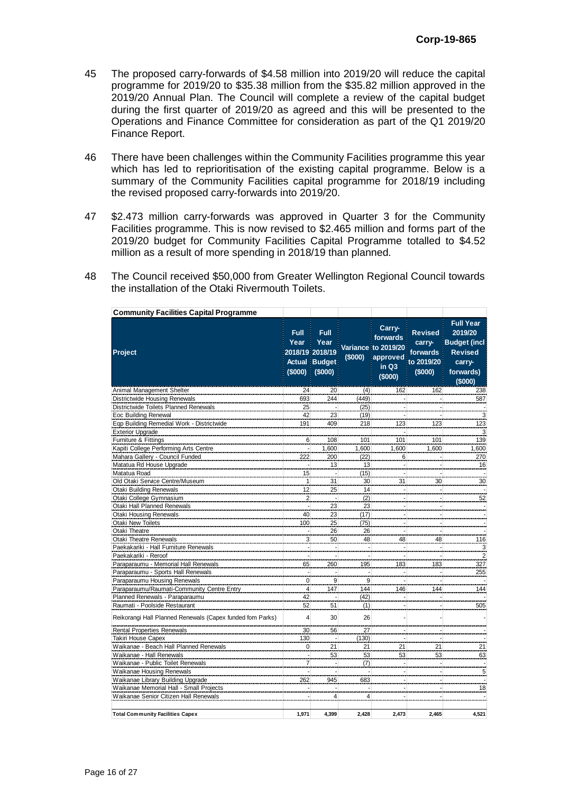- 45 The proposed carry-forwards of \$4.58 million into 2019/20 will reduce the capital programme for 2019/20 to \$35.38 million from the \$35.82 million approved in the 2019/20 Annual Plan. The Council will complete a review of the capital budget during the first quarter of 2019/20 as agreed and this will be presented to the Operations and Finance Committee for consideration as part of the Q1 2019/20 Finance Report.
- 46 There have been challenges within the Community Facilities programme this year which has led to reprioritisation of the existing capital programme. Below is a summary of the Community Facilities capital programme for 2018/19 including the revised proposed carry-forwards into 2019/20.
- 47 \$2.473 million carry-forwards was approved in Quarter 3 for the Community Facilities programme. This is now revised to \$2.465 million and forms part of the 2019/20 budget for Community Facilities Capital Programme totalled to \$4.52 million as a result of more spending in 2018/19 than planned.
- 48 The Council received \$50,000 from Greater Wellington Regional Council towards the installation of the Otaki Rivermouth Toilets.

| <b>Community Facilities Capital Programme</b>             |                          |                                                                                      |                |                                                                             |                                                               |                                                                                                        |
|-----------------------------------------------------------|--------------------------|--------------------------------------------------------------------------------------|----------------|-----------------------------------------------------------------------------|---------------------------------------------------------------|--------------------------------------------------------------------------------------------------------|
| Project                                                   | <b>Full</b><br>Year      | <b>Full</b><br>Year<br>2018/19 2018/19<br><b>Actual Budget</b><br>$($000)$ $ ($000)$ | (\$000)        | Carry-<br>forwards<br>Variance to 2019/20<br>approved<br>in $Q3$<br>(\$000) | <b>Revised</b><br>carry-<br>forwards<br>to 2019/20<br>(\$000) | <b>Full Year</b><br>2019/20<br><b>Budget</b> (incl<br><b>Revised</b><br>carry-<br>forwards)<br>(\$000) |
| Animal Management Shelter                                 | 24                       | 20                                                                                   | (4)            | 162                                                                         | 162                                                           | 238                                                                                                    |
| <b>Districtwide Housing Renewals</b>                      | 693                      | 244                                                                                  | (449)          |                                                                             |                                                               | 587                                                                                                    |
| Districtwide Toilets Planned Renewals                     | 25                       |                                                                                      | (25)           |                                                                             |                                                               |                                                                                                        |
| Eoc Building Renewal                                      | 42                       | 23                                                                                   | (19)           |                                                                             |                                                               | 3                                                                                                      |
| Eqp Building Remedial Work - Districtwide                 | 191                      | 409                                                                                  | 218            | 123                                                                         | 123                                                           | 123                                                                                                    |
| <b>Exterior Upgrade</b>                                   |                          |                                                                                      |                |                                                                             |                                                               | 3                                                                                                      |
| Furniture & Fittings                                      | 6                        | 108                                                                                  | 101            | 101                                                                         | 101                                                           | 139                                                                                                    |
| Kapiti College Performing Arts Centre                     |                          | 1,600                                                                                | 1,600          | 1,600                                                                       | 1,600                                                         | ,600                                                                                                   |
| Mahara Gallery - Council Funded                           | 222                      | 200                                                                                  | (22)           | 6                                                                           |                                                               | 270                                                                                                    |
| Matatua Rd House Upgrade                                  |                          | 13                                                                                   | 13             |                                                                             |                                                               | 16                                                                                                     |
| Matatua Road                                              | 15                       |                                                                                      | (15)           |                                                                             |                                                               |                                                                                                        |
| Old Otaki Service Centre/Museum                           | 1                        | 31                                                                                   | 30             | 31                                                                          | 30                                                            | 30                                                                                                     |
| <b>Otaki Building Renewals</b>                            | 12                       | 25                                                                                   | 14             |                                                                             |                                                               |                                                                                                        |
| Otaki College Gymnasium                                   | $\overline{2}$           |                                                                                      | (2)            |                                                                             |                                                               | 52                                                                                                     |
| Otaki Hall Planned Renewals                               |                          | 23                                                                                   | 23             |                                                                             |                                                               |                                                                                                        |
| <b>Otaki Housing Renewals</b>                             | 40                       | 23                                                                                   | (17)           |                                                                             |                                                               |                                                                                                        |
| <b>Otaki New Toilets</b>                                  | 100                      | 25                                                                                   | (75)           |                                                                             |                                                               |                                                                                                        |
| Otaki Theatre                                             |                          | 26                                                                                   | 26             |                                                                             |                                                               |                                                                                                        |
| <b>Otaki Theatre Renewals</b>                             | 3                        | 50                                                                                   | 48             | 48                                                                          | 48                                                            | 116                                                                                                    |
| Paekakariki - Hall Furniture Renewals                     |                          |                                                                                      |                |                                                                             |                                                               | 3                                                                                                      |
| Paekakariki - Reroof                                      |                          |                                                                                      |                |                                                                             |                                                               | $\overline{c}$                                                                                         |
| Paraparaumu - Memorial Hall Renewals                      | 65                       | 260                                                                                  | 195            | 183                                                                         | 183                                                           | 327                                                                                                    |
| Paraparaumu - Sports Hall Renewals                        |                          |                                                                                      |                |                                                                             |                                                               | 255                                                                                                    |
| Paraparaumu Housing Renewals                              | $\mathbf{0}$             | 9                                                                                    | 9              |                                                                             |                                                               |                                                                                                        |
| Paraparaumu/Raumati-Community Centre Entry                | 4                        | 147                                                                                  | 144            | 146                                                                         | 144                                                           | 144                                                                                                    |
| Planned Renewals - Paraparaumu                            | 42                       |                                                                                      | (42)           |                                                                             |                                                               |                                                                                                        |
| Raumati - Poolside Restaurant                             | 52                       | 51                                                                                   | (1)            |                                                                             |                                                               | 505                                                                                                    |
| Reikorangi Hall Planned Renewals (Capex funded fom Parks) | $\overline{4}$           | 30                                                                                   | 26             |                                                                             |                                                               |                                                                                                        |
| <b>Rental Properties Renewals</b>                         | 30                       | 56                                                                                   | 27             |                                                                             |                                                               |                                                                                                        |
| Takiri House Capex                                        | 130                      |                                                                                      | (130)          |                                                                             |                                                               |                                                                                                        |
| Waikanae - Beach Hall Planned Renewals                    | $\overline{0}$           | 21                                                                                   | 21             | 21                                                                          | 21                                                            | 21                                                                                                     |
| Waikanae - Hall Renewals                                  | $\overline{\phantom{a}}$ | 53                                                                                   | 53             | 53                                                                          | 53                                                            | 63                                                                                                     |
| Waikanae - Public Toilet Renewals                         | $\overline{7}$           |                                                                                      | (7)            |                                                                             |                                                               |                                                                                                        |
| Waikanae Housing Renewals                                 | $\overline{\phantom{a}}$ |                                                                                      |                |                                                                             | $\blacksquare$                                                | 5                                                                                                      |
| Waikanae Library Building Upgrade                         | 262                      | 945                                                                                  | 683            |                                                                             |                                                               |                                                                                                        |
| Waikanae Memorial Hall - Small Projects                   |                          |                                                                                      |                |                                                                             |                                                               | 18                                                                                                     |
| Waikanae Senior Citizen Hall Renewals                     |                          | $\overline{4}$                                                                       | $\overline{4}$ |                                                                             |                                                               |                                                                                                        |
| <b>Total Community Facilities Capex</b>                   | 1,971                    | 4,399                                                                                | 2,428          | 2,473                                                                       | 2,465                                                         | 4,521                                                                                                  |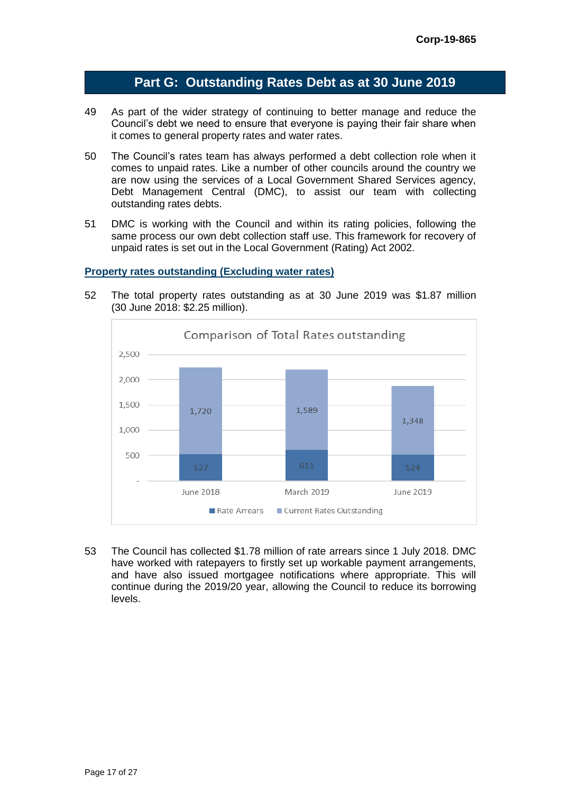# **Part G: Outstanding Rates Debt as at 30 June 2019**

- 49 As part of the wider strategy of continuing to better manage and reduce the Council's debt we need to ensure that everyone is paying their fair share when it comes to general property rates and water rates.
- 50 The Council's rates team has always performed a debt collection role when it comes to unpaid rates. Like a number of other councils around the country we are now using the services of a Local Government Shared Services agency, Debt Management Central (DMC), to assist our team with collecting outstanding rates debts.
- 51 DMC is working with the Council and within its rating policies, following the same process our own debt collection staff use. This framework for recovery of unpaid rates is set out in the Local Government (Rating) Act 2002.

#### **Property rates outstanding (Excluding water rates)**



52 The total property rates outstanding as at 30 June 2019 was \$1.87 million (30 June 2018: \$2.25 million).

53 The Council has collected \$1.78 million of rate arrears since 1 July 2018. DMC have worked with ratepayers to firstly set up workable payment arrangements, and have also issued mortgagee notifications where appropriate. This will continue during the 2019/20 year, allowing the Council to reduce its borrowing levels.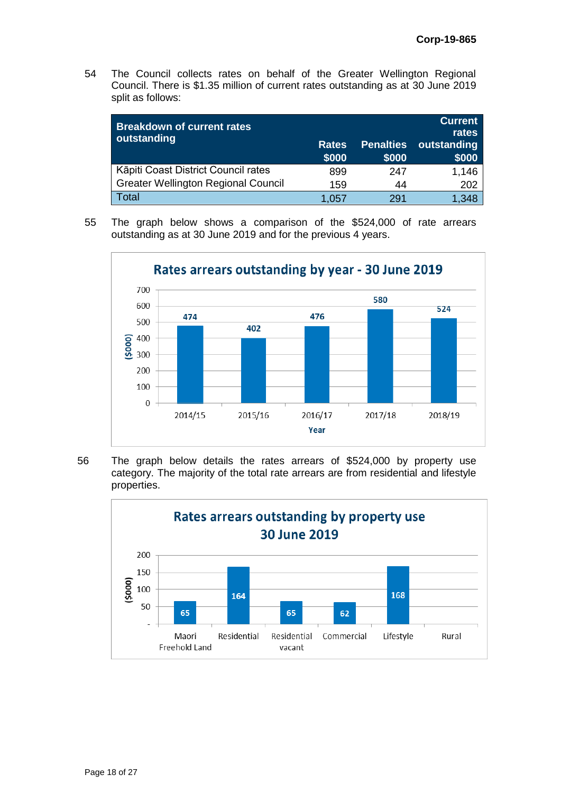54 The Council collects rates on behalf of the Greater Wellington Regional Council. There is \$1.35 million of current rates outstanding as at 30 June 2019 split as follows:

| <b>Breakdown of current rates</b><br>outstanding | <b>Rates</b><br>\$000 | <b>Penalties</b><br>\$000 | <b>Current</b><br>rates<br>outstanding<br>\$000 |
|--------------------------------------------------|-----------------------|---------------------------|-------------------------------------------------|
| Kāpiti Coast District Council rates              | 899                   | 247                       | 1,146                                           |
| <b>Greater Wellington Regional Council</b>       | 159                   | 44                        | 202                                             |
| Total                                            | 1.057                 | 291                       | 1.348                                           |

55 The graph below shows a comparison of the \$524,000 of rate arrears outstanding as at 30 June 2019 and for the previous 4 years.



56 The graph below details the rates arrears of \$524,000 by property use category. The majority of the total rate arrears are from residential and lifestyle properties.

![](_page_17_Figure_6.jpeg)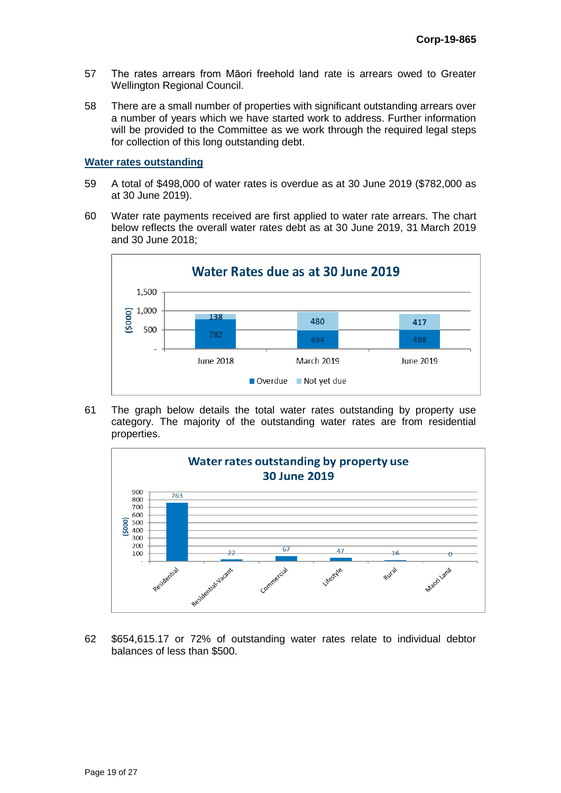- 57 The rates arrears from Māori freehold land rate is arrears owed to Greater Wellington Regional Council.
- 58 There are a small number of properties with significant outstanding arrears over a number of years which we have started work to address. Further information will be provided to the Committee as we work through the required legal steps for collection of this long outstanding debt.

#### **Water rates outstanding**

- 59 A total of \$498,000 of water rates is overdue as at 30 June 2019 (\$782,000 as at 30 June 2019).
- 60 Water rate payments received are first applied to water rate arrears. The chart below reflects the overall water rates debt as at 30 June 2019, 31 March 2019 and 30 June 2018;

![](_page_18_Figure_6.jpeg)

61 The graph below details the total water rates outstanding by property use category. The majority of the outstanding water rates are from residential properties.

![](_page_18_Figure_8.jpeg)

62 \$654,615.17 or 72% of outstanding water rates relate to individual debtor balances of less than \$500.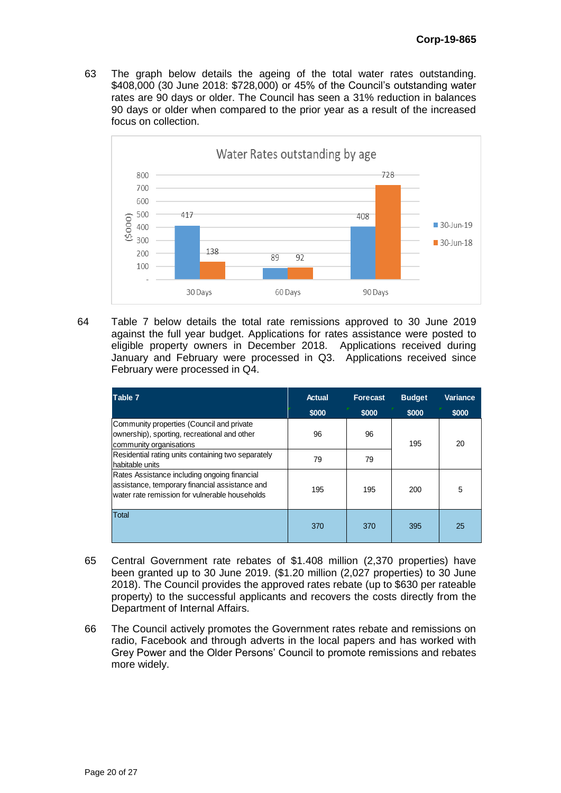63 The graph below details the ageing of the total water rates outstanding. \$408,000 (30 June 2018: \$728,000) or 45% of the Council's outstanding water rates are 90 days or older. The Council has seen a 31% reduction in balances 90 days or older when compared to the prior year as a result of the increased focus on collection.

![](_page_19_Figure_2.jpeg)

64 Table 7 below details the total rate remissions approved to 30 June 2019 against the full year budget. Applications for rates assistance were posted to eligible property owners in December 2018. Applications received during January and February were processed in Q3. Applications received since February were processed in Q4.

| Table 7                                                                                                                                          | <b>Actual</b> | <b>Forecast</b> | <b>Budget</b> | Variance |
|--------------------------------------------------------------------------------------------------------------------------------------------------|---------------|-----------------|---------------|----------|
|                                                                                                                                                  | \$000         | \$000           | \$000         | \$000    |
| Community properties (Council and private<br>ownership), sporting, recreational and other<br>community organisations                             | 96            | 96              | 195           | 20       |
| Residential rating units containing two separately<br>habitable units                                                                            | 79            | 79              |               |          |
| Rates Assistance including ongoing financial<br>assistance, temporary financial assistance and<br>water rate remission for vulnerable households | 195           | 195             | 200           | 5        |
| Total                                                                                                                                            | 370           | 370             | 395           | 25       |

- 65 Central Government rate rebates of \$1.408 million (2,370 properties) have been granted up to 30 June 2019. (\$1.20 million (2,027 properties) to 30 June 2018). The Council provides the approved rates rebate (up to \$630 per rateable property) to the successful applicants and recovers the costs directly from the Department of Internal Affairs.
- 66 The Council actively promotes the Government rates rebate and remissions on radio, Facebook and through adverts in the local papers and has worked with Grey Power and the Older Persons' Council to promote remissions and rebates more widely.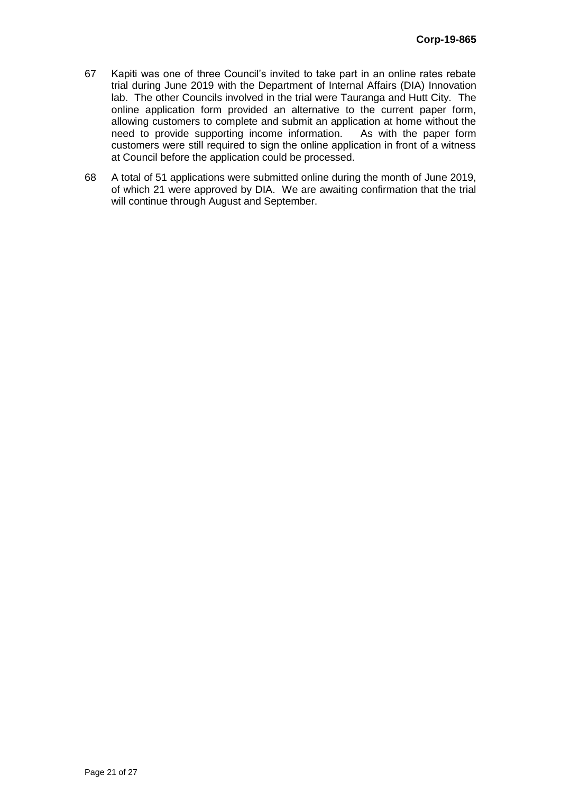- 67 Kapiti was one of three Council's invited to take part in an online rates rebate trial during June 2019 with the Department of Internal Affairs (DIA) Innovation lab. The other Councils involved in the trial were Tauranga and Hutt City. The online application form provided an alternative to the current paper form, allowing customers to complete and submit an application at home without the need to provide supporting income information. As with the paper form need to provide supporting income information. customers were still required to sign the online application in front of a witness at Council before the application could be processed.
- 68 A total of 51 applications were submitted online during the month of June 2019, of which 21 were approved by DIA. We are awaiting confirmation that the trial will continue through August and September.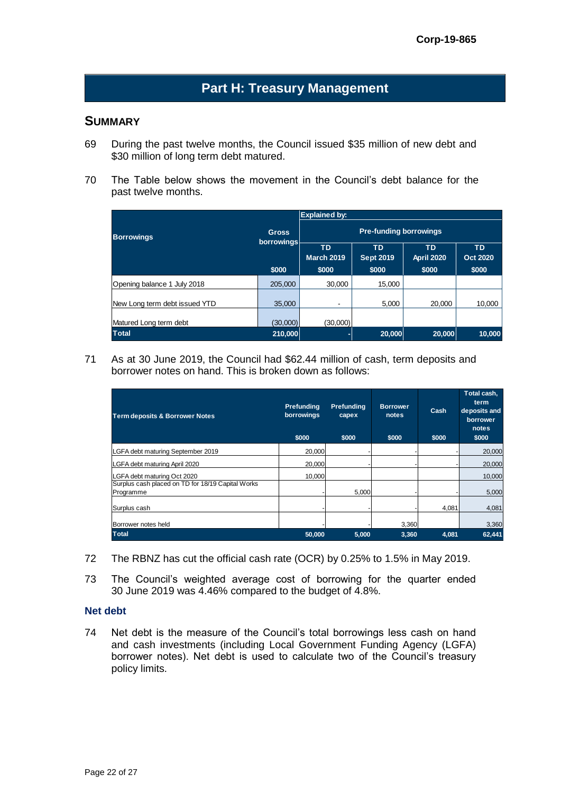# **Part H: Treasury Management**

## **SUMMARY**

- 69 During the past twelve months, the Council issued \$35 million of new debt and \$30 million of long term debt matured.
- 70 The Table below shows the movement in the Council's debt balance for the past twelve months.

|                               |              | <b>Explained by:</b>          |                               |                                |                              |  |  |  |  |
|-------------------------------|--------------|-------------------------------|-------------------------------|--------------------------------|------------------------------|--|--|--|--|
| <b>Borrowings</b>             | <b>Gross</b> | <b>Pre-funding borrowings</b> |                               |                                |                              |  |  |  |  |
|                               | borrowings   | ТD<br>March 2019              | <b>TD</b><br><b>Sept 2019</b> | <b>TD</b><br><b>April 2020</b> | <b>TD</b><br><b>Oct 2020</b> |  |  |  |  |
|                               | \$000        | \$000                         | \$000                         | \$000                          | \$000                        |  |  |  |  |
| Opening balance 1 July 2018   | 205,000      | 30.000                        | 15.000                        |                                |                              |  |  |  |  |
| New Long term debt issued YTD | 35,000       | $\overline{\phantom{a}}$      | 5.000                         | 20,000                         | 10,000                       |  |  |  |  |
|                               |              |                               |                               |                                |                              |  |  |  |  |
| Matured Long term debt        | (30,000)     | (30,000)                      |                               |                                |                              |  |  |  |  |
| <b>Total</b>                  | 210,000      |                               | 20,000                        | 20,000                         | 10,000                       |  |  |  |  |

71 As at 30 June 2019, the Council had \$62.44 million of cash, term deposits and borrower notes on hand. This is broken down as follows:

| <b>Term deposits &amp; Borrower Notes</b>                      | Prefunding<br>borrowings<br>\$000 | Prefunding<br>capex<br>\$000 | <b>Borrower</b><br>notes<br>\$000 | Cash<br>\$000 | Total cash,<br>term<br>deposits and<br>borrower<br>notes<br>\$000 |
|----------------------------------------------------------------|-----------------------------------|------------------------------|-----------------------------------|---------------|-------------------------------------------------------------------|
| LGFA debt maturing September 2019                              | 20,000                            |                              |                                   |               | 20,000                                                            |
| LGFA debt maturing April 2020                                  | 20,000                            |                              |                                   |               | 20,000                                                            |
| LGFA debt maturing Oct 2020                                    | 10,000                            |                              |                                   |               | 10,000                                                            |
| Surplus cash placed on TD for 18/19 Capital Works<br>Programme |                                   | 5,000                        |                                   |               | 5,000                                                             |
| Surplus cash                                                   |                                   |                              |                                   | 4,081         | 4,081                                                             |
| Borrower notes held                                            |                                   |                              | 3,360                             |               | 3,360                                                             |
| <b>Total</b>                                                   | 50,000                            | 5.000                        | 3,360                             | 4.081         | 62,441                                                            |

- 72 The RBNZ has cut the official cash rate (OCR) by 0.25% to 1.5% in May 2019.
- 73 The Council's weighted average cost of borrowing for the quarter ended 30 June 2019 was 4.46% compared to the budget of 4.8%.

#### **Net debt**

74 Net debt is the measure of the Council's total borrowings less cash on hand and cash investments (including Local Government Funding Agency (LGFA) borrower notes). Net debt is used to calculate two of the Council's treasury policy limits.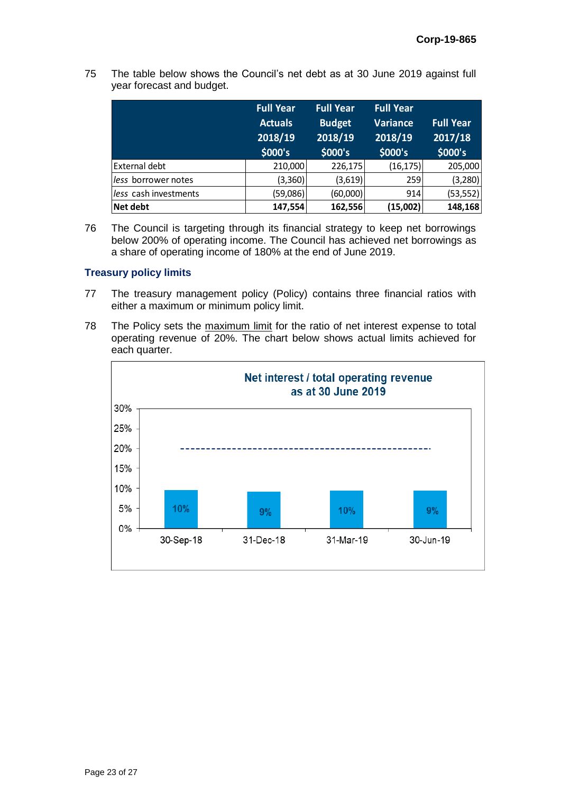75 The table below shows the Council's net debt as at 30 June 2019 against full year forecast and budget.

|                       | <b>Full Year</b><br><b>Actuals</b><br>2018/19<br>\$000's | Full Year<br><b>Budget</b><br>2018/19<br>\$000's | Full Year<br><b>Variance</b><br>2018/19<br>\$000's | <b>Full Year</b><br>2017/18<br>\$000's |
|-----------------------|----------------------------------------------------------|--------------------------------------------------|----------------------------------------------------|----------------------------------------|
| External debt         | 210,000                                                  | 226,175                                          | (16, 175)                                          | 205,000                                |
| less borrower notes   | (3,360)                                                  | (3,619)                                          | 259                                                | (3,280)                                |
| less cash investments | (59,086)                                                 | (60,000)                                         | 914                                                | (53, 552)                              |
| <b>Net debt</b>       | 147,554                                                  | 162,556                                          | (15,002)                                           | 148,168                                |

76 The Council is targeting through its financial strategy to keep net borrowings below 200% of operating income. The Council has achieved net borrowings as a share of operating income of 180% at the end of June 2019.

#### **Treasury policy limits**

- 77 The treasury management policy (Policy) contains three financial ratios with either a maximum or minimum policy limit.
- 78 The Policy sets the maximum limit for the ratio of net interest expense to total operating revenue of 20%. The chart below shows actual limits achieved for each quarter.

![](_page_22_Figure_7.jpeg)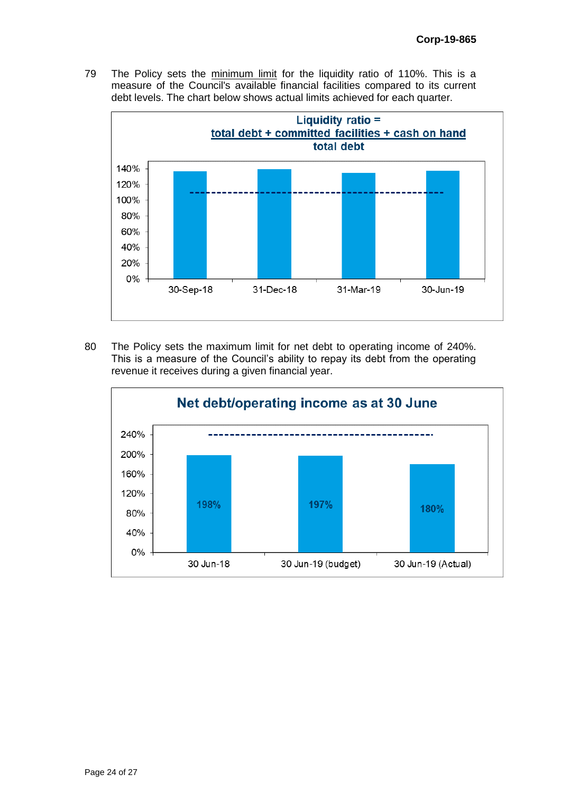79 The Policy sets the minimum limit for the liquidity ratio of 110%. This is a measure of the Council's available financial facilities compared to its current debt levels. The chart below shows actual limits achieved for each quarter.

![](_page_23_Figure_2.jpeg)

80 The Policy sets the maximum limit for net debt to operating income of 240%. This is a measure of the Council's ability to repay its debt from the operating revenue it receives during a given financial year.

![](_page_23_Figure_4.jpeg)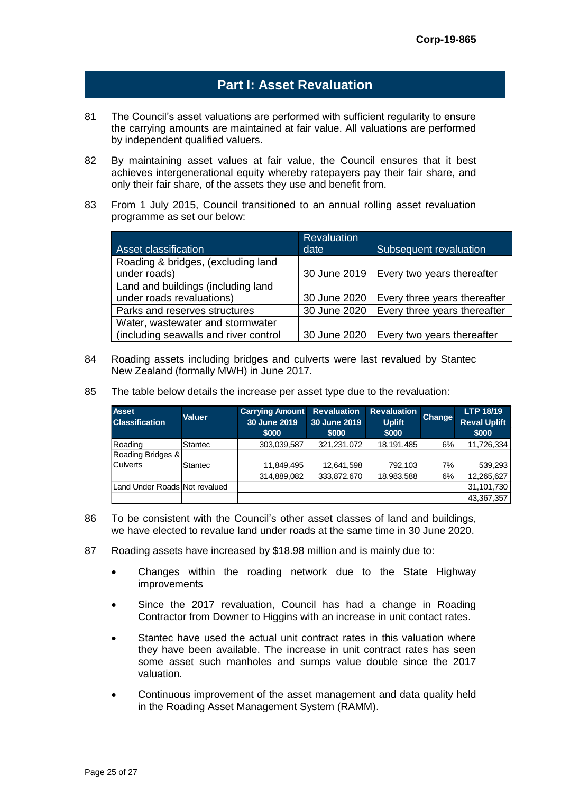# **Part I: Asset Revaluation**

- 81 The Council's asset valuations are performed with sufficient regularity to ensure the carrying amounts are maintained at fair value. All valuations are performed by independent qualified valuers.
- 82 By maintaining asset values at fair value, the Council ensures that it best achieves intergenerational equity whereby ratepayers pay their fair share, and only their fair share, of the assets they use and benefit from.
- 83 From 1 July 2015, Council transitioned to an annual rolling asset revaluation programme as set our below:

|                                       | <b>Revaluation</b> |                              |
|---------------------------------------|--------------------|------------------------------|
| <b>Asset classification</b>           | date               | Subsequent revaluation       |
| Roading & bridges, (excluding land    |                    |                              |
| under roads)                          | 30 June 2019       | Every two years thereafter   |
| Land and buildings (including land    |                    |                              |
| under roads revaluations)             | 30 June 2020       | Every three years thereafter |
| Parks and reserves structures         | 30 June 2020       | Every three years thereafter |
| Water, wastewater and stormwater      |                    |                              |
| (including seawalls and river control | 30 June 2020       | Every two years thereafter   |

- 84 Roading assets including bridges and culverts were last revalued by Stantec New Zealand (formally MWH) in June 2017.
- 85 The table below details the increase per asset type due to the revaluation:

| <b>Asset</b><br><b>Classification</b> | <b>Valuer</b>  | <b>Carrying Amount</b> Revaluation<br>30 June 2019<br>\$000 | 30 June 2019<br>\$000 | <b>Revaluation</b><br><b>Uplift</b><br>\$000 | <b>Change</b> | <b>LTP 18/19</b><br><b>Reval Uplift</b><br>\$000 |
|---------------------------------------|----------------|-------------------------------------------------------------|-----------------------|----------------------------------------------|---------------|--------------------------------------------------|
| Roading                               | Stantec        | 303,039,587                                                 | 321,231,072           | 18,191,485                                   | 6%            | 11,726,334                                       |
| Roading Bridges &                     |                |                                                             |                       |                                              |               |                                                  |
| <b>Culverts</b>                       | <b>Stantec</b> | 11,849,495                                                  | 12,641,598            | 792.103                                      | 7%            | 539,293                                          |
|                                       |                | 314,889,082                                                 | 333,872,670           | 18,983,588                                   | 6%            | 12,265,627                                       |
| Land Under Roads Not revalued         |                |                                                             |                       |                                              |               | 31,101,730                                       |
|                                       |                |                                                             |                       |                                              |               | 43,367,357                                       |

- 86 To be consistent with the Council's other asset classes of land and buildings, we have elected to revalue land under roads at the same time in 30 June 2020.
- 87 Roading assets have increased by \$18.98 million and is mainly due to:
	- Changes within the roading network due to the State Highway **improvements**
	- Since the 2017 revaluation, Council has had a change in Roading Contractor from Downer to Higgins with an increase in unit contact rates.
	- Stantec have used the actual unit contract rates in this valuation where they have been available. The increase in unit contract rates has seen some asset such manholes and sumps value double since the 2017 valuation.
	- Continuous improvement of the asset management and data quality held in the Roading Asset Management System (RAMM).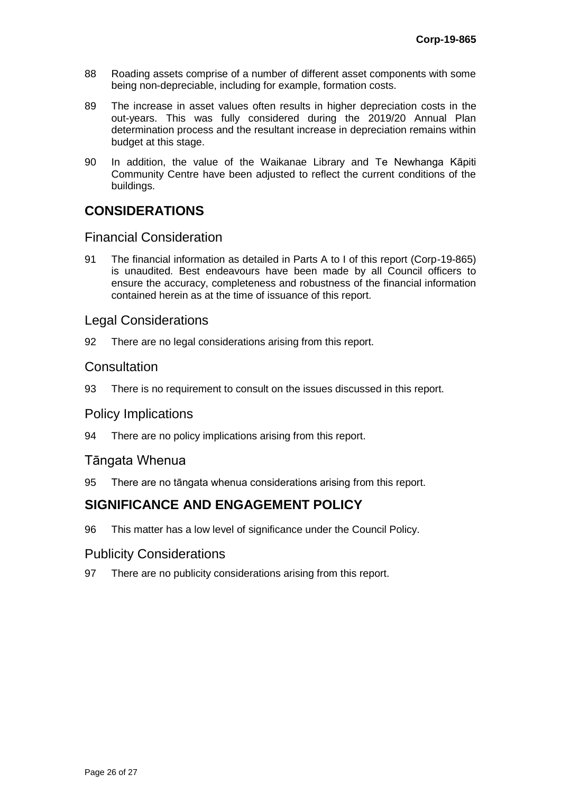- 88 Roading assets comprise of a number of different asset components with some being non-depreciable, including for example, formation costs.
- 89 The increase in asset values often results in higher depreciation costs in the out-years. This was fully considered during the 2019/20 Annual Plan determination process and the resultant increase in depreciation remains within budget at this stage.
- 90 In addition, the value of the Waikanae Library and Te Newhanga Kāpiti Community Centre have been adjusted to reflect the current conditions of the buildings.

# **CONSIDERATIONS**

# Financial Consideration

91 The financial information as detailed in Parts A to I of this report (Corp-19-865) is unaudited. Best endeavours have been made by all Council officers to ensure the accuracy, completeness and robustness of the financial information contained herein as at the time of issuance of this report.

# Legal Considerations

92 There are no legal considerations arising from this report.

## **Consultation**

93 There is no requirement to consult on the issues discussed in this report.

### Policy Implications

94 There are no policy implications arising from this report.

### Tāngata Whenua

95 There are no tāngata whenua considerations arising from this report.

# **SIGNIFICANCE AND ENGAGEMENT POLICY**

96 This matter has a low level of significance under the Council Policy.

### Publicity Considerations

97 There are no publicity considerations arising from this report.